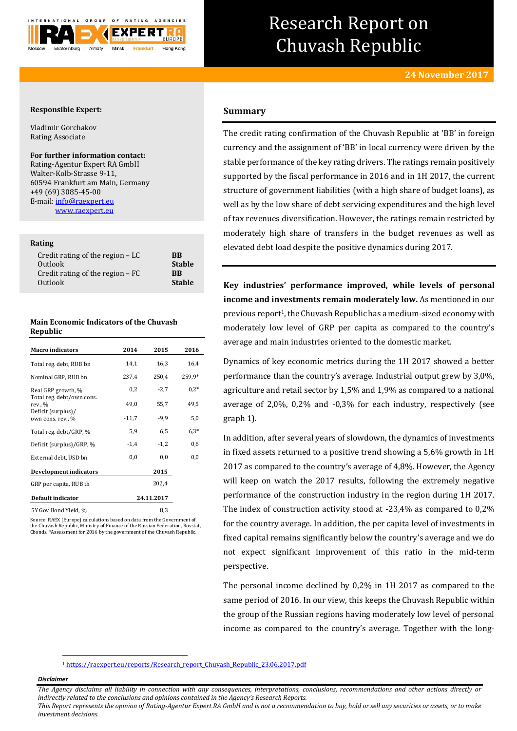

# Research Report on Chuvash Republic

# **Responsible Expert:**

Vladimir Gorchakov Rating Associate

### **For further information contact:**

Rating-Agentur Expert RA GmbH Walter-Kolb-Strasse 9-11, 60594 Frankfurt am Main, Germany +49 (69) 3085-45-00 E-mail[: info@raexpert.eu](mailto:info@raexpert.eu) [www.raexpert.eu](http://raexpert.eu/)

# **Rating**

| Credit rating of the region $-LC$ | <b>BB</b>     |
|-----------------------------------|---------------|
| Outlook                           | <b>Stable</b> |
| Credit rating of the region $-FC$ | <b>RR</b>     |
| Outlook                           | <b>Stable</b> |

# **Main Economic Indicators of the Chuvash Republic**

| <b>Macro</b> indicators                 | 2014    | 2015       | 2016   |
|-----------------------------------------|---------|------------|--------|
| Total reg. debt, RUB bn                 | 14,1    | 16,3       | 16,4   |
| Nominal GRP, RUB bn                     | 237,4   | 250,4      | 259,9* |
| Real GRP growth, %                      | 0,2     | $-2,7$     | $0.2*$ |
| Total reg. debt/own cons.<br>rev., %    | 49,0    | 55,7       | 49,5   |
| Deficit (surplus)/<br>own cons. rev., % | $-11,7$ | $-9,9$     | 5,0    |
| Total reg. debt/GRP, %                  | 5,9     | 6,5        | $6.3*$ |
| Deficit (surplus)/GRP, %                | $-1,4$  | $-1,2$     | 0,6    |
| External debt, USD bn                   | 0,0     | 0,0        | 0,0    |
| Development indicators                  |         | 2015       |        |
| GRP per capita, RUB th                  |         | 202,4      |        |
| Default indicator                       |         | 24.11.2017 |        |
| 5Y Gov Bond Yield, %                    |         | 8,3        |        |

Source: RAEX (Europe) calculations based on data from the Government of the Chuvash Republic, Ministry of Finance of the Russian Federation, Rosstat, Cbonds. \*Assessment for 2016 by the government of the Chuvash Republic.

# **Summary**

The credit rating confirmation of the Chuvash Republic at 'BB' in foreign currency and the assignment of 'BB' in local currency were driven by the stable performance of the key rating drivers. The ratings remain positively supported by the fiscal performance in 2016 and in 1H 2017, the current structure of government liabilities (with a high share of budget loans), as well as by the low share of debt servicing expenditures and the high level of tax revenues diversification. However, the ratings remain restricted by moderately high share of transfers in the budget revenues as well as elevated debt load despite the positive dynamics during 2017.

**Key industries' performance improved, while levels of personal income and investments remain moderately low.** As mentioned in our previous report<sup>1</sup>, the Chuvash Republic has a medium-sized economy with moderately low level of GRP per capita as compared to the country's average and main industries oriented to the domestic market.

Dynamics of key economic metrics during the 1H 2017 showed a better performance than the country's average. Industrial output grew by 3,0%, agriculture and retail sector by 1,5% and 1,9% as compared to a national average of 2,0%, 0,2% and -0,3% for each industry, respectively (see graph 1).

In addition, after several years of slowdown, the dynamics of investments in fixed assets returned to a positive trend showing a 5,6% growth in 1H 2017 as compared to the country's average of 4,8%. However, the Agency will keep on watch the 2017 results, following the extremely negative performance of the construction industry in the region during 1H 2017. The index of construction activity stood at -23,4% as compared to 0,2% for the country average. In addition, the per capita level of investments in fixed capital remains significantly below the country's average and we do not expect significant improvement of this ratio in the mid-term perspective.

The personal income declined by 0,2% in 1H 2017 as compared to the same period of 2016. In our view, this keeps the Chuvash Republic within the group of the Russian regions having moderately low level of personal income as compared to the country's average. Together with the long-

<sup>1</sup> [https://raexpert.eu/reports/Research\\_report\\_Chuvash\\_Republic\\_23.06.2017.pdf](https://raexpert.eu/reports/Research_report_Chuvash_Republic_23.06.2017.pdf)

# *Disclaimer*

1

*The Agency disclaims all liability in connection with any consequences, interpretations, conclusions, recommendations and other actions directly or indirectly related to the conclusions and opinions contained in the Agency's Research Reports.*

*This Report represents the opinion of Rating-Agentur Expert RA GmbH and is not a recommendation to buy, hold or sell any securities or assets, or to make investment decisions.*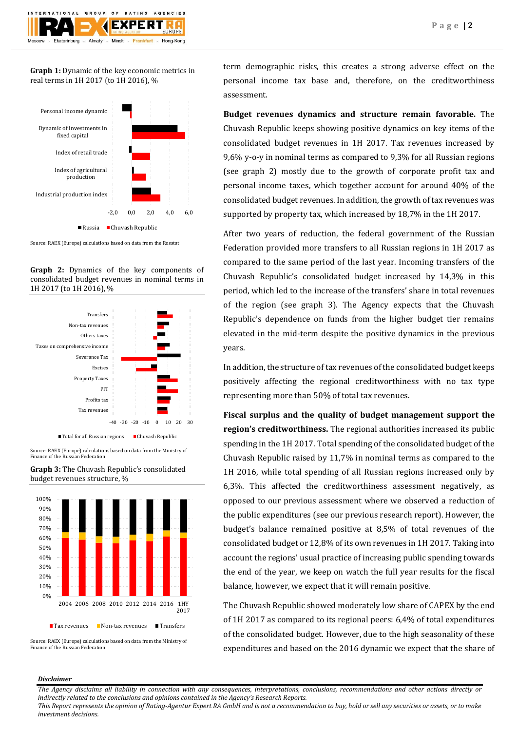$O F$ **RATING** AGENCIES ATIONAL GROUP **FXPFRT** Ekaterinburg Almaty - Minsk - Frankfurt - Hong-Kong

**Graph 1:** Dynamic of the key economic metrics in real terms in 1H 2017 (to 1H 2016), %



Source: RAEX (Europe) calculations based on data from the Rosstat

**Graph 2:** Dynamics of the key components of consolidated budget revenues in nominal terms in 1H 2017 (to 1H 2016), %



Source: RAEX (Europe) calculations based on data from the Ministry of Finance of the Russian Federation

**Graph 3:** The Chuvash Republic's consolidated budget revenues structure, %



Source: RAEX (Europe) calculations based on data from the Ministry of Finance of the Russian Federation

term demographic risks, this creates a strong adverse effect on the personal income tax base and, therefore, on the creditworthiness assessment.

**Budget revenues dynamics and structure remain favorable.** The Chuvash Republic keeps showing positive dynamics on key items of the consolidated budget revenues in 1H 2017. Tax revenues increased by 9,6% y-o-y in nominal terms as compared to 9,3% for all Russian regions (see graph 2) mostly due to the growth of corporate profit tax and personal income taxes, which together account for around 40% of the consolidated budget revenues. In addition, the growth of tax revenues was supported by property tax, which increased by 18,7% in the 1H 2017.

After two years of reduction, the federal government of the Russian Federation provided more transfers to all Russian regions in 1H 2017 as compared to the same period of the last year. Incoming transfers of the Chuvash Republic's consolidated budget increased by 14,3% in this period, which led to the increase of the transfers' share in total revenues of the region (see graph 3). The Agency expects that the Chuvash Republic's dependence on funds from the higher budget tier remains elevated in the mid-term despite the positive dynamics in the previous years.

In addition, the structure of tax revenues of the consolidated budget keeps positively affecting the regional creditworthiness with no tax type representing more than 50% of total tax revenues.

**Fiscal surplus and the quality of budget management support the region's creditworthiness.** The regional authorities increased its public spending in the 1H 2017. Total spending of the consolidated budget of the Chuvash Republic raised by 11,7% in nominal terms as compared to the 1H 2016, while total spending of all Russian regions increased only by 6,3%. This affected the creditworthiness assessment negatively, as opposed to our previous assessment where we observed a reduction of the public expenditures (see our previous research report). However, the budget's balance remained positive at 8,5% of total revenues of the consolidated budget or 12,8% of its own revenues in 1H 2017. Taking into account the regions' usual practice of increasing public spending towards the end of the year, we keep on watch the full year results for the fiscal balance, however, we expect that it will remain positive.

The Chuvash Republic showed moderately low share of CAPEX by the end of 1H 2017 as compared to its regional peers: 6,4% of total expenditures of the consolidated budget. However, due to the high seasonality of these expenditures and based on the 2016 dynamic we expect that the share of

# *Disclaimer*

*The Agency disclaims all liability in connection with any consequences, interpretations, conclusions, recommendations and other actions directly or indirectly related to the conclusions and opinions contained in the Agency's Research Reports.*

*This Report represents the opinion of Rating-Agentur Expert RA GmbH and is not a recommendation to buy, hold or sell any securities or assets, or to make investment decisions.*